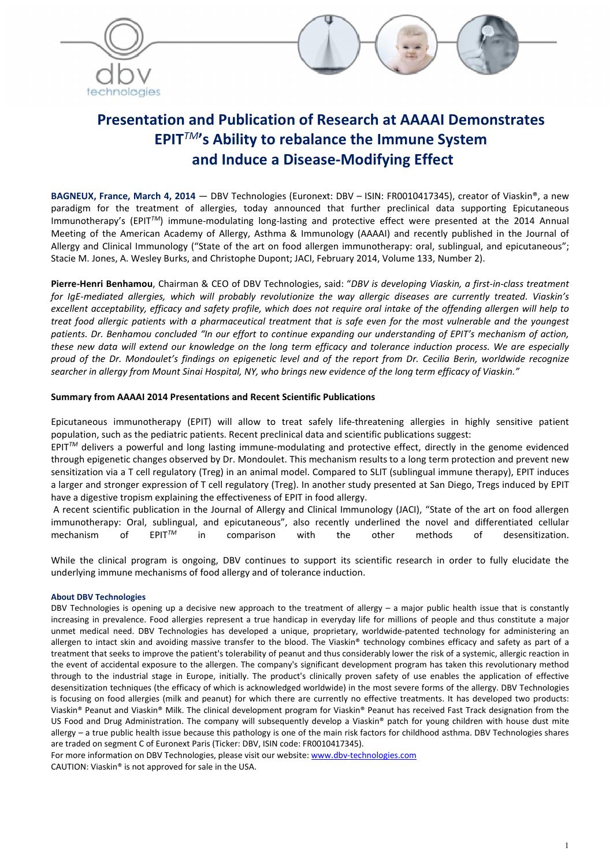



# Presentation and Publication of Research at AAAAI Demonstrates EPIT*TM*'s Ability to rebalance the Immune System and Induce a Disease-Modifying Effect

BAGNEUX, France, March 4, 2014 - DBV Technologies (Euronext: DBV - ISIN: FR0010417345), creator of Viaskin®, a new paradigm for the treatment of allergies, today announced that further preclinical data supporting Epicutaneous Immunotherapy's (EPIT*TM*) immune-modulating long-lasting and protective effect were presented at the 2014 Annual Meeting of the American Academy of Allergy, Asthma & Immunology (AAAAI) and recently published in the Journal of Allergy and Clinical Immunology ("State of the art on food allergen immunotherapy: oral, sublingual, and epicutaneous"; Stacie M. Jones, A. Wesley Burks, and Christophe Dupont; JACI, February 2014, Volume 133, Number 2).

Pierre-Henri Benhamou, Chairman & CEO of DBV Technologies, said: "*DBV is developing Viaskin, a first-in-class treatment for IgE-mediated allergies, which will probably revolutionize the way allergic diseases are currently treated. Viaskin's excellent acceptability, efficacy and safety profile, which does not require oral intake of the offending allergen will help to treat food allergic patients with a pharmaceutical treatment that is safe even for the most vulnerable and the youngest patients. Dr. Benhamou concluded "In our effort to continue expanding our understanding of EPIT's mechanism of action, these new data will extend our knowledge on the long term efficacy and tolerance induction process. We are especially proud of the Dr. Mondoulet's findings on epigenetic level and of the report from Dr. Cecilia Berin, worldwide recognize searcher in allergy from Mount Sinai Hospital, NY, who brings new evidence of the long term efficacy of Viaskin."*

### Summary from AAAAI 2014 Presentations and Recent Scientific Publications

Epicutaneous immunotherapy (EPIT) will allow to treat safely life-threatening allergies in highly sensitive patient population, such as the pediatric patients. Recent preclinical data and scientific publications suggest:

EPIT*TM* delivers a powerful and long lasting immune-modulating and protective effect, directly in the genome evidenced through epigenetic changes observed by Dr. Mondoulet. This mechanism results to a long term protection and prevent new sensitization via a T cell regulatory (Treg) in an animal model. Compared to SLIT (sublingual immune therapy), EPIT induces a larger and stronger expression of T cell regulatory (Treg). In another study presented at San Diego, Tregs induced by EPIT have a digestive tropism explaining the effectiveness of EPIT in food allergy.

A recent scientific publication in the Journal of Allergy and Clinical Immunology (JACI), "State of the art on food allergen immunotherapy: Oral, sublingual, and epicutaneous", also recently underlined the novel and differentiated cellular mechanism of EPIT<sup>TM</sup> in comparison with the other methods of desensitization. mechanism of EPIT*TM* in comparison with the other methods of desensitization.

While the clinical program is ongoing, DBV continues to support its scientific research in order to fully elucidate the underlying immune mechanisms of food allergy and of tolerance induction.

## About DBV Technologies

DBV Technologies is opening up a decisive new approach to the treatment of allergy – a major public health issue that is constantly increasing in prevalence. Food allergies represent a true handicap in everyday life for millions of people and thus constitute a major unmet medical need. DBV Technologies has developed a unique, proprietary, worldwide-patented technology for administering an allergen to intact skin and avoiding massive transfer to the blood. The Viaskin® technology combines efficacy and safety as part of a treatment that seeks to improve the patient's tolerability of peanut and thus considerably lower the risk of a systemic, allergic reaction in the event of accidental exposure to the allergen. The company's significant development program has taken this revolutionary method through to the industrial stage in Europe, initially. The product's clinically proven safety of use enables the application of effective desensitization techniques (the efficacy of which is acknowledged worldwide) in the most severe forms of the allergy. DBV Technologies is focusing on food allergies (milk and peanut) for which there are currently no effective treatments. It has developed two products: Viaskin® Peanut and Viaskin® Milk. The clinical development program for Viaskin® Peanut has received Fast Track designation from the US Food and Drug Administration. The company will subsequently develop a Viaskin® patch for young children with house dust mite allergy – a true public health issue because this pathology is one of the main risk factors for childhood asthma. DBV Technologies shares are traded on segment C of Euronext Paris (Ticker: DBV, ISIN code: FR0010417345).

For more information on DBV Technologies, please visit our website: www.dbv-technologies.com CAUTION: Viaskin® is not approved for sale in the USA.